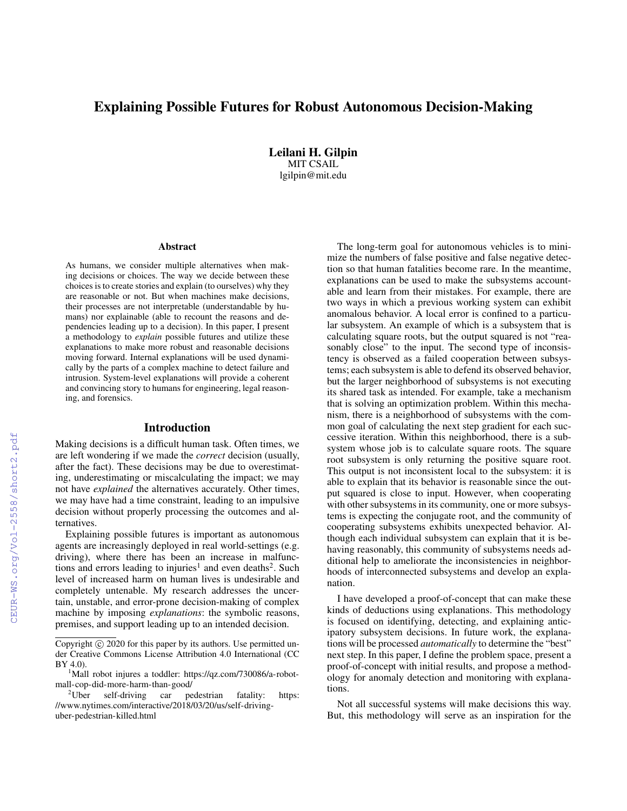# Explaining Possible Futures for Robust Autonomous Decision-Making

Leilani H. Gilpin MIT CSAIL lgilpin@mit.edu

#### Abstract

As humans, we consider multiple alternatives when making decisions or choices. The way we decide between these choices is to create stories and explain (to ourselves) why they are reasonable or not. But when machines make decisions, their processes are not interpretable (understandable by humans) nor explainable (able to recount the reasons and dependencies leading up to a decision). In this paper, I present a methodology to *explain* possible futures and utilize these explanations to make more robust and reasonable decisions moving forward. Internal explanations will be used dynamically by the parts of a complex machine to detect failure and intrusion. System-level explanations will provide a coherent and convincing story to humans for engineering, legal reasoning, and forensics.

#### Introduction

Making decisions is a difficult human task. Often times, we are left wondering if we made the *correct* decision (usually, after the fact). These decisions may be due to overestimating, underestimating or miscalculating the impact; we may not have *explained* the alternatives accurately. Other times, we may have had a time constraint, leading to an impulsive decision without properly processing the outcomes and alternatives.

Explaining possible futures is important as autonomous agents are increasingly deployed in real world-settings (e.g. driving), where there has been an increase in malfunctions and errors leading to injuries<sup>1</sup> and even deaths<sup>2</sup>. Such level of increased harm on human lives is undesirable and completely untenable. My research addresses the uncertain, unstable, and error-prone decision-making of complex machine by imposing *explanations*: the symbolic reasons, premises, and support leading up to an intended decision.

The long-term goal for autonomous vehicles is to minimize the numbers of false positive and false negative detection so that human fatalities become rare. In the meantime, explanations can be used to make the subsystems accountable and learn from their mistakes. For example, there are two ways in which a previous working system can exhibit anomalous behavior. A local error is confined to a particular subsystem. An example of which is a subsystem that is calculating square roots, but the output squared is not "reasonably close" to the input. The second type of inconsistency is observed as a failed cooperation between subsystems; each subsystem is able to defend its observed behavior, but the larger neighborhood of subsystems is not executing its shared task as intended. For example, take a mechanism that is solving an optimization problem. Within this mechanism, there is a neighborhood of subsystems with the common goal of calculating the next step gradient for each successive iteration. Within this neighborhood, there is a subsystem whose job is to calculate square roots. The square root subsystem is only returning the positive square root. This output is not inconsistent local to the subsystem: it is able to explain that its behavior is reasonable since the output squared is close to input. However, when cooperating with other subsystems in its community, one or more subsystems is expecting the conjugate root, and the community of cooperating subsystems exhibits unexpected behavior. Although each individual subsystem can explain that it is behaving reasonably, this community of subsystems needs additional help to ameliorate the inconsistencies in neighborhoods of interconnected subsystems and develop an explanation.

I have developed a proof-of-concept that can make these kinds of deductions using explanations. This methodology is focused on identifying, detecting, and explaining anticipatory subsystem decisions. In future work, the explanations will be processed *automatically* to determine the "best" next step. In this paper, I define the problem space, present a proof-of-concept with initial results, and propose a methodology for anomaly detection and monitoring with explanations.

Not all successful systems will make decisions this way. But, this methodology will serve as an inspiration for the

Copyright  $\odot$  2020 for this paper by its authors. Use permitted under Creative Commons License Attribution 4.0 International (CC BY 4.0).

<sup>&</sup>lt;sup>1</sup>Mall robot injures a toddler: https://qz.com/730086/a-robotmall-cop-did-more-harm-than-good/

 $2^2$ Uber self-driving car pedestrian fatality: https: //www.nytimes.com/interactive/2018/03/20/us/self-drivinguber-pedestrian-killed.html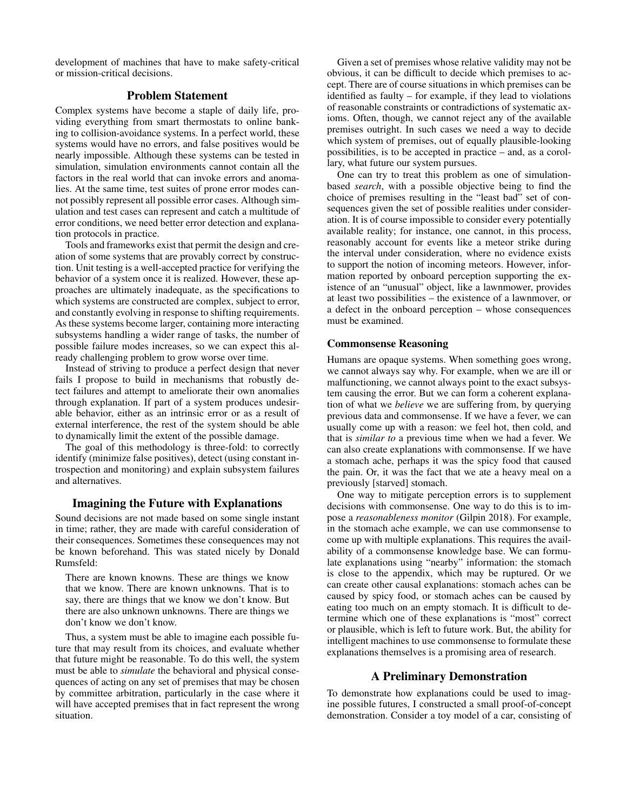development of machines that have to make safety-critical or mission-critical decisions.

## Problem Statement

Complex systems have become a staple of daily life, providing everything from smart thermostats to online banking to collision-avoidance systems. In a perfect world, these systems would have no errors, and false positives would be nearly impossible. Although these systems can be tested in simulation, simulation environments cannot contain all the factors in the real world that can invoke errors and anomalies. At the same time, test suites of prone error modes cannot possibly represent all possible error cases. Although simulation and test cases can represent and catch a multitude of error conditions, we need better error detection and explanation protocols in practice.

Tools and frameworks exist that permit the design and creation of some systems that are provably correct by construction. Unit testing is a well-accepted practice for verifying the behavior of a system once it is realized. However, these approaches are ultimately inadequate, as the specifications to which systems are constructed are complex, subject to error, and constantly evolving in response to shifting requirements. As these systems become larger, containing more interacting subsystems handling a wider range of tasks, the number of possible failure modes increases, so we can expect this already challenging problem to grow worse over time.

Instead of striving to produce a perfect design that never fails I propose to build in mechanisms that robustly detect failures and attempt to ameliorate their own anomalies through explanation. If part of a system produces undesirable behavior, either as an intrinsic error or as a result of external interference, the rest of the system should be able to dynamically limit the extent of the possible damage.

The goal of this methodology is three-fold: to correctly identify (minimize false positives), detect (using constant introspection and monitoring) and explain subsystem failures and alternatives.

#### Imagining the Future with Explanations

Sound decisions are not made based on some single instant in time; rather, they are made with careful consideration of their consequences. Sometimes these consequences may not be known beforehand. This was stated nicely by Donald Rumsfeld:

There are known knowns. These are things we know that we know. There are known unknowns. That is to say, there are things that we know we don't know. But there are also unknown unknowns. There are things we don't know we don't know.

Thus, a system must be able to imagine each possible future that may result from its choices, and evaluate whether that future might be reasonable. To do this well, the system must be able to *simulate* the behavioral and physical consequences of acting on any set of premises that may be chosen by committee arbitration, particularly in the case where it will have accepted premises that in fact represent the wrong situation.

Given a set of premises whose relative validity may not be obvious, it can be difficult to decide which premises to accept. There are of course situations in which premises can be identified as faulty – for example, if they lead to violations of reasonable constraints or contradictions of systematic axioms. Often, though, we cannot reject any of the available premises outright. In such cases we need a way to decide which system of premises, out of equally plausible-looking possibilities, is to be accepted in practice – and, as a corollary, what future our system pursues.

One can try to treat this problem as one of simulationbased *search*, with a possible objective being to find the choice of premises resulting in the "least bad" set of consequences given the set of possible realities under consideration. It is of course impossible to consider every potentially available reality; for instance, one cannot, in this process, reasonably account for events like a meteor strike during the interval under consideration, where no evidence exists to support the notion of incoming meteors. However, information reported by onboard perception supporting the existence of an "unusual" object, like a lawnmower, provides at least two possibilities – the existence of a lawnmover, or a defect in the onboard perception – whose consequences must be examined.

### Commonsense Reasoning

Humans are opaque systems. When something goes wrong, we cannot always say why. For example, when we are ill or malfunctioning, we cannot always point to the exact subsystem causing the error. But we can form a coherent explanation of what we *believe* we are suffering from, by querying previous data and commonsense. If we have a fever, we can usually come up with a reason: we feel hot, then cold, and that is *similar to* a previous time when we had a fever. We can also create explanations with commonsense. If we have a stomach ache, perhaps it was the spicy food that caused the pain. Or, it was the fact that we ate a heavy meal on a previously [starved] stomach.

One way to mitigate perception errors is to supplement decisions with commonsense. One way to do this is to impose a *reasonableness monitor* (Gilpin 2018). For example, in the stomach ache example, we can use commonsense to come up with multiple explanations. This requires the availability of a commonsense knowledge base. We can formulate explanations using "nearby" information: the stomach is close to the appendix, which may be ruptured. Or we can create other causal explanations: stomach aches can be caused by spicy food, or stomach aches can be caused by eating too much on an empty stomach. It is difficult to determine which one of these explanations is "most" correct or plausible, which is left to future work. But, the ability for intelligent machines to use commonsense to formulate these explanations themselves is a promising area of research.

#### A Preliminary Demonstration

To demonstrate how explanations could be used to imagine possible futures, I constructed a small proof-of-concept demonstration. Consider a toy model of a car, consisting of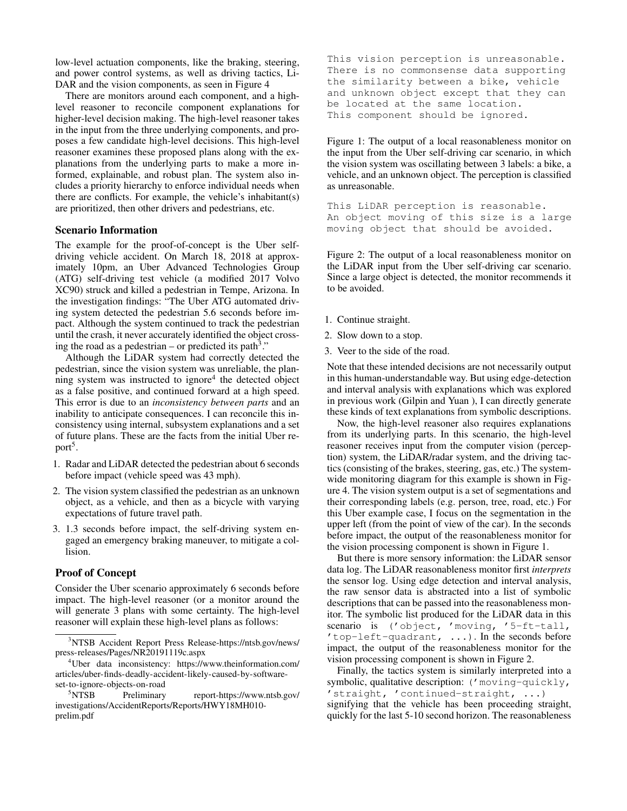low-level actuation components, like the braking, steering, and power control systems, as well as driving tactics, Li-DAR and the vision components, as seen in Figure 4

There are monitors around each component, and a highlevel reasoner to reconcile component explanations for higher-level decision making. The high-level reasoner takes in the input from the three underlying components, and proposes a few candidate high-level decisions. This high-level reasoner examines these proposed plans along with the explanations from the underlying parts to make a more informed, explainable, and robust plan. The system also includes a priority hierarchy to enforce individual needs when there are conflicts. For example, the vehicle's inhabitant(s) are prioritized, then other drivers and pedestrians, etc.

#### Scenario Information

The example for the proof-of-concept is the Uber selfdriving vehicle accident. On March 18, 2018 at approximately 10pm, an Uber Advanced Technologies Group (ATG) self-driving test vehicle (a modified 2017 Volvo XC90) struck and killed a pedestrian in Tempe, Arizona. In the investigation findings: "The Uber ATG automated driving system detected the pedestrian 5.6 seconds before impact. Although the system continued to track the pedestrian until the crash, it never accurately identified the object crossing the road as a pedestrian – or predicted its path<sup>3</sup>."

Although the LiDAR system had correctly detected the pedestrian, since the vision system was unreliable, the plan $n$ ing system was instructed to ignore<sup>4</sup> the detected object as a false positive, and continued forward at a high speed. This error is due to an *inconsistency between parts* and an inability to anticipate consequences. I can reconcile this inconsistency using internal, subsystem explanations and a set of future plans. These are the facts from the initial Uber report<sup>5</sup>.

- 1. Radar and LiDAR detected the pedestrian about 6 seconds before impact (vehicle speed was 43 mph).
- 2. The vision system classified the pedestrian as an unknown object, as a vehicle, and then as a bicycle with varying expectations of future travel path.
- 3. 1.3 seconds before impact, the self-driving system engaged an emergency braking maneuver, to mitigate a collision.

## Proof of Concept

Consider the Uber scenario approximately 6 seconds before impact. The high-level reasoner (or a monitor around the will generate 3 plans with some certainty. The high-level reasoner will explain these high-level plans as follows:

This vision perception is unreasonable. There is no commonsense data supporting the similarity between a bike, vehicle and unknown object except that they can be located at the same location. This component should be ignored.

Figure 1: The output of a local reasonableness monitor on the input from the Uber self-driving car scenario, in which the vision system was oscillating between 3 labels: a bike, a vehicle, and an unknown object. The perception is classified as unreasonable.

This LiDAR perception is reasonable. An object moving of this size is a large moving object that should be avoided.

Figure 2: The output of a local reasonableness monitor on the LiDAR input from the Uber self-driving car scenario. Since a large object is detected, the monitor recommends it to be avoided.

- 1. Continue straight.
- 2. Slow down to a stop.
- 3. Veer to the side of the road.

Note that these intended decisions are not necessarily output in this human-understandable way. But using edge-detection and interval analysis with explanations which was explored in previous work (Gilpin and Yuan ), I can directly generate these kinds of text explanations from symbolic descriptions.

Now, the high-level reasoner also requires explanations from its underlying parts. In this scenario, the high-level reasoner receives input from the computer vision (perception) system, the LiDAR/radar system, and the driving tactics (consisting of the brakes, steering, gas, etc.) The systemwide monitoring diagram for this example is shown in Figure 4. The vision system output is a set of segmentations and their corresponding labels (e.g. person, tree, road, etc.) For this Uber example case, I focus on the segmentation in the upper left (from the point of view of the car). In the seconds before impact, the output of the reasonableness monitor for the vision processing component is shown in Figure 1.

But there is more sensory information: the LiDAR sensor data log. The LiDAR reasonableness monitor first *interprets* the sensor log. Using edge detection and interval analysis, the raw sensor data is abstracted into a list of symbolic descriptions that can be passed into the reasonableness monitor. The symbolic list produced for the LiDAR data in this scenario is ('object, 'moving, '5-ft-tall, 'top-left-quadrant, ...). In the seconds before impact, the output of the reasonableness monitor for the vision processing component is shown in Figure 2.

Finally, the tactics system is similarly interpreted into a symbolic, qualitative description: ('moving-quickly, 'straight, 'continued-straight, ...) signifying that the vehicle has been proceeding straight,

quickly for the last 5-10 second horizon. The reasonableness

<sup>3</sup>NTSB Accident Report Press Release-https://ntsb.gov/news/ press-releases/Pages/NR20191119c.aspx

<sup>4</sup>Uber data inconsistency: https://www.theinformation.com/ articles/uber-finds-deadly-accident-likely-caused-by-softwareset-to-ignore-objects-on-road

<sup>5</sup>NTSB Preliminary report-https://www.ntsb.gov/ investigations/AccidentReports/Reports/HWY18MH010 prelim.pdf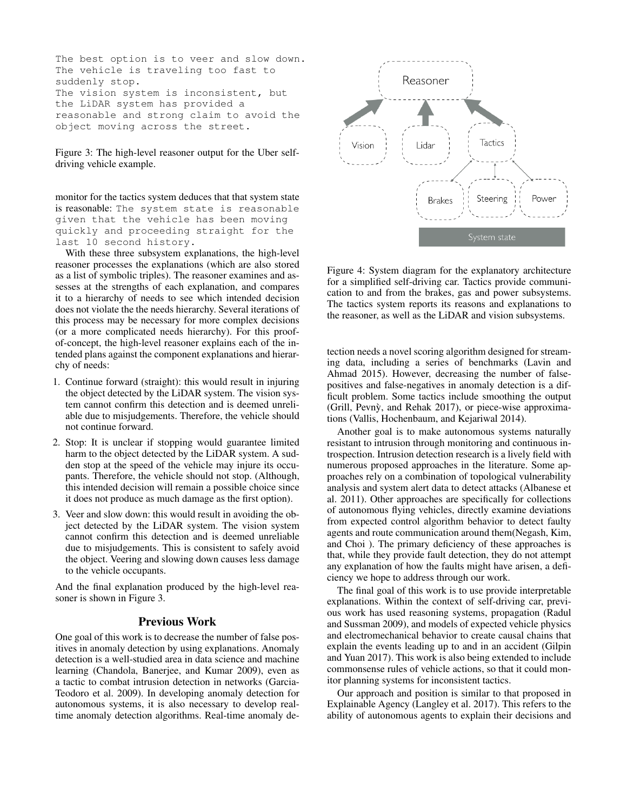The best option is to veer and slow down. The vehicle is traveling too fast to suddenly stop. The vision system is inconsistent, but the LiDAR system has provided a reasonable and strong claim to avoid the object moving across the street.

Figure 3: The high-level reasoner output for the Uber selfdriving vehicle example.

monitor for the tactics system deduces that that system state is reasonable: The system state is reasonable given that the vehicle has been moving quickly and proceeding straight for the last 10 second history.

With these three subsystem explanations, the high-level reasoner processes the explanations (which are also stored as a list of symbolic triples). The reasoner examines and assesses at the strengths of each explanation, and compares it to a hierarchy of needs to see which intended decision does not violate the the needs hierarchy. Several iterations of this process may be necessary for more complex decisions (or a more complicated needs hierarchy). For this proofof-concept, the high-level reasoner explains each of the intended plans against the component explanations and hierarchy of needs:

- 1. Continue forward (straight): this would result in injuring the object detected by the LiDAR system. The vision system cannot confirm this detection and is deemed unreliable due to misjudgements. Therefore, the vehicle should not continue forward.
- 2. Stop: It is unclear if stopping would guarantee limited harm to the object detected by the LiDAR system. A sudden stop at the speed of the vehicle may injure its occupants. Therefore, the vehicle should not stop. (Although, this intended decision will remain a possible choice since it does not produce as much damage as the first option).
- 3. Veer and slow down: this would result in avoiding the object detected by the LiDAR system. The vision system cannot confirm this detection and is deemed unreliable due to misjudgements. This is consistent to safely avoid the object. Veering and slowing down causes less damage to the vehicle occupants.

And the final explanation produced by the high-level reasoner is shown in Figure 3.

#### Previous Work

One goal of this work is to decrease the number of false positives in anomaly detection by using explanations. Anomaly detection is a well-studied area in data science and machine learning (Chandola, Banerjee, and Kumar 2009), even as a tactic to combat intrusion detection in networks (Garcia-Teodoro et al. 2009). In developing anomaly detection for autonomous systems, it is also necessary to develop realtime anomaly detection algorithms. Real-time anomaly de-



Figure 4: System diagram for the explanatory architecture for a simplified self-driving car. Tactics provide communication to and from the brakes, gas and power subsystems. The tactics system reports its reasons and explanations to the reasoner, as well as the LiDAR and vision subsystems.

tection needs a novel scoring algorithm designed for streaming data, including a series of benchmarks (Lavin and Ahmad 2015). However, decreasing the number of falsepositives and false-negatives in anomaly detection is a difficult problem. Some tactics include smoothing the output (Grill, Pevny, and Rehak 2017), or piece-wise approximations (Vallis, Hochenbaum, and Kejariwal 2014).

Another goal is to make autonomous systems naturally resistant to intrusion through monitoring and continuous introspection. Intrusion detection research is a lively field with numerous proposed approaches in the literature. Some approaches rely on a combination of topological vulnerability analysis and system alert data to detect attacks (Albanese et al. 2011). Other approaches are specifically for collections of autonomous flying vehicles, directly examine deviations from expected control algorithm behavior to detect faulty agents and route communication around them(Negash, Kim, and Choi ). The primary deficiency of these approaches is that, while they provide fault detection, they do not attempt any explanation of how the faults might have arisen, a deficiency we hope to address through our work.

The final goal of this work is to use provide interpretable explanations. Within the context of self-driving car, previous work has used reasoning systems, propagation (Radul and Sussman 2009), and models of expected vehicle physics and electromechanical behavior to create causal chains that explain the events leading up to and in an accident (Gilpin and Yuan 2017). This work is also being extended to include commonsense rules of vehicle actions, so that it could monitor planning systems for inconsistent tactics.

Our approach and position is similar to that proposed in Explainable Agency (Langley et al. 2017). This refers to the ability of autonomous agents to explain their decisions and